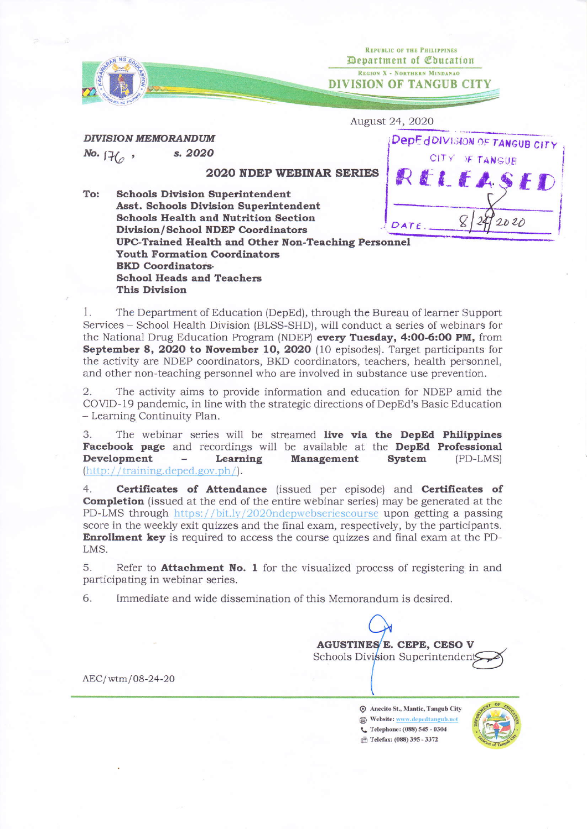

Department of Education REGION X - NORTHERN MINDANAO DIVISION OF TANGUB CITY

> DepEdDIVISION OF TANGUB CITY CITY OF TANGUE

> > $2020$

August 24, 2O2O

REPUBLIC OF THE PHILIPPINES

DIVISION MEMORANDUM s. 2020 No.  $H_0$ ,

2020 NDEP WEBINAR SERIES

RELEA To: Schools Division Superintendent Asst. Schools Division Superintendent Schools Health and Nutrition Section  $DATE$ Divislon/School IIDEP Coordinators UPC-Trained Health and Other Non-Teaching Personnel Youth Formation Coordinators **BKD Coordinators** School Heads and Teachers **This Division** 

<sup>I</sup>. The Department of Education (DepEd), through the Bureau of learner Support Services - School Health Division (BLSS-SHD), will conduct a series of webinars for the National Drug Education Program (NDEP) every Tuesday, 4:OO-6:OO PM, from September 8, 2020 to November 10, 2020 (10 episodes). Target participants for the activity are NDEP coordinators, BKD coordinators, teachers, health personnel, and other non-teaching personnel who are involved in substance use prevention.

2. The activity aims to provide information and education for NDEP amid the COVID-19 pandemic, in line with the strategic directions of DepEd's Basic Education - Learning Continuity Plan.

3. The webinar series will be streamed live via the DepEd Philippines Facebook page and recordings will be available at the DepEd Professional Development - Learning Management System (PD-LMS)  $(\text{http://training.deped.gov.php/}).$ 

4. **Certificates of Attendance** (issued per episode) and **Certificates of** Completion (issued at the end of the entire webinar series) may be generated at the PD-LMS through https://bit.ly/2020ndepwebseriescourse upon getting a passing score in the weekly exit quizzes and the final exam, respectively, by the participants. Enrollment key is required to access the course quizzes and final exam at the PD-LMS.

5. Refer to **Attachment No. 1** for the visualized process of registering in and participating in webinar series.

6. Immediate and wide dissemination of this Memorandum is desired.

Schools Division Superintendent AGUSTINES E. CEPE, CESO V

AEC/wtm/08-24-20

O Anecito St., Mantic, Tangub City  $\begin{picture}(180,170)(-10,0) \put(0,0){\vector(1,0){160}} \put(10,0){\vector(1,0){160}} \put(10,0){\vector(1,0){160}} \put(10,0){\vector(1,0){160}} \put(10,0){\vector(1,0){160}} \put(10,0){\vector(1,0){160}} \put(10,0){\vector(1,0){160}} \put(10,0){\vector(1,0){160}} \put(10,0){\vector(1,0){160}} \put(10,0){\vector(1,0){160}} \put(10,0){\vector(1$  $\mathbb{P}$  Telefax: (088) 395 - 3372



I I I I